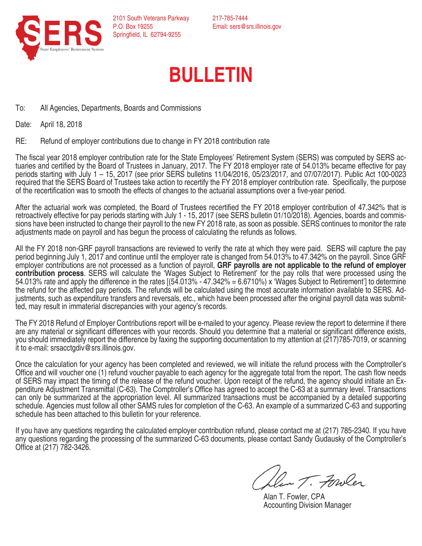

217-785-7444 Email: sers@srs.illinois.gov

## **BULLETIN**

To: All Agencies, Departments, Boards and Commissions

Date: April 18, 2018

RE: Refund of employer contributions due to change in FY 2018 contribution rate

The fiscal year 2018 employer contribution rate for the State Employees' Retirement System (SERS) was computed by SERS actuaries and certified by the Board of Trustees in January, 2017. The FY 2018 employer rate of 54.013% became effective for pay periods starting with July 1 – 15, 2017 (see prior SERS bulletins 11/04/2016, 05/23/2017, and 07/07/2017). Public Act 100-0023 required that the SERS Board of Trustees take action to recertify the FY 2018 employer contribution rate. Specifically, the purpose of the recertification was to smooth the effects of changes to the actuarial assumptions over a five-year period.

After the actuarial work was completed, the Board of Trustees recertified the FY 2018 employer contribution of 47.342% that is<br>retroactively effective for pay periods starting with July 1 - 15, 2017 (see SERS bulletin 01/1 sions have been instructed to change their payroll to the new FY 2018 rate, as soon as possible. SERS continues to monitor the rate adjustments made on payroll and has begun the process of calculating the refunds as follows.

All the FY 2018 non-GRF payroll transactions are reviewed to verify the rate at which they were paid. SERS will capture the pay period beginning July 1, 2017 and continue until the employer rate is changed from 54.013% to 47.342% on the payroll. Since GRF employer contributions are not processed as a function of payroll, GRF payrolls are not applicable to the refund of employer contribution process. SERS will calculate the 'Wages Subject to Retirement' for the pay rolls tha 54.013% rate and apply the difference in the rates  $(54.013\% - 47.342\% = 6.6710\%)$  x 'Wages Subject to Retirement'] to determine the refund for the affected pay periods. The refunds will be calculated using the most accurate information available to SERS. Ad-<br>justments, such as expenditure transfers and reversals, etc., which have been processed aft

The FY 2018 Refund of Employer Contributions report will be e-mailed to your agency. Please review the report to determine if there are any material or significant differences with your records. Should you determine that a material or significant difference exists, you should immediately report the difference by faxing the supporting documentation to my attention at (217)785-7019, or scanning it to e-mail: srsacctgdiv@srs.illinois.gov.

Once the calculation for your agency has been completed and reviewed, we will initiate the refund process with the Comptroller's Office and will voucher one (1) refund voucher payable to each agency for the aggregate total from the report. The cash flow needs<br>of SERS may impact the timing of the release of the refund voucher. Upon receipt of the ref penditure Adjustment Transmittal (C-63). The Comptroller's Office has agreed to accept the C-63 at a summary level. Transactions can only be summarized at the appropriation level. All summarized transactions must be accompanied by a detailed supporting schedule. Agencies must follow all other SAMS rules for completion of the C-63. An example of a summarized C-63 and supporting schedule has been attached to this bulletin for your reference.

If you have any questions regarding the calculated employer contribution refund, please contact me at (217) 785-2340. If you have any questions regarding the processing of the summarized C-63 documents, please contact Sandy Gudausky of the Comptroller's Office at (217) 782-3426.

Den T. Fowler

Alan T. Fowler, CPA Accounting Division Manager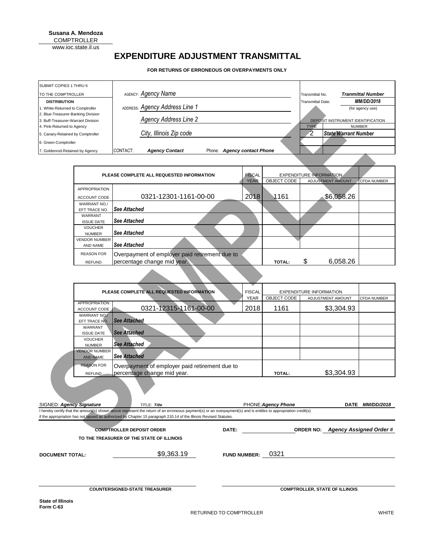**Susana A. Mendoza** COMPTROLLER www.ioc.state.il.us

## **EXPENDITURE ADJUSTMENT TRANSMITTAL**

**FOR RETURNS OF ERRONEOUS OR OVERPAYMENTS ONLY**

| <b>SUBMIT COPIES 1 THRU 6</b>      |          |                                |        |                             |                          |                                   |
|------------------------------------|----------|--------------------------------|--------|-----------------------------|--------------------------|-----------------------------------|
| <b>TO THE COMPTROLLER</b>          |          | AGENCY: Agency Name            |        |                             | Transmittal No.          | <b>Tranmittal Number</b>          |
| <b>DISTRIBUTION</b>                |          |                                |        |                             | <b>Transmittal Date:</b> | <b>MM/DD/2018</b>                 |
| 1. White-Returned to Comptroller   |          | ADDRESS: Agency Address Line 1 |        |                             |                          | (for agency use)                  |
| 2. Blue-Treasurer-Banking Division |          |                                |        |                             |                          |                                   |
| 3. Buff-Treasurer-Warrant Division |          | <b>Agency Address Line 2</b>   |        |                             |                          | DEPOSIT INSTRUMENT IDENTIFICATION |
| 4. Pink-Returned to Agency         |          |                                |        |                             | <b>TYPE</b>              | <b>NUMBER</b>                     |
| 5. Canary-Retained by Comptroller  |          | City, Illinois Zip code        |        |                             |                          | <b>State Warrant Number</b>       |
| 6. Green-Comptroller               |          |                                |        |                             |                          |                                   |
| 7. Goldenrod-Retained by Agency    | CONTACT: | <b>Agency Contact</b>          | Phone: | <b>Agency contact Phone</b> |                          |                                   |

| PLEASE COMPLETE ALL REQUESTED INFORMATION |                                                |             | <b>EXPENDITURE INFORMATION.</b> |                          |                    |
|-------------------------------------------|------------------------------------------------|-------------|---------------------------------|--------------------------|--------------------|
|                                           |                                                | <b>YEAR</b> | OBJECT CODE                     | <b>ADJUSTMENT AMOUNT</b> | <b>CFDA NUMBER</b> |
| <b>APPROPRIATION</b>                      |                                                |             |                                 |                          |                    |
| ACCOUNT CODE                              | 0321-12301-1161-00-00                          | 2018        | 1161                            | \$6,058.26               |                    |
| WARRANT NO./                              |                                                |             |                                 |                          |                    |
| EFT TRACE NO.                             | <b>See Attached</b>                            |             |                                 |                          |                    |
| WARRANT                                   |                                                |             |                                 |                          |                    |
| <b>ISSUE DATE</b>                         | <b>See Attached</b>                            |             |                                 |                          |                    |
| <b>VOUCHER</b>                            |                                                |             |                                 |                          |                    |
| <b>NUMBER</b>                             | <b>See Attached</b>                            |             |                                 |                          |                    |
| <b>VENDOR NUMBER</b>                      |                                                |             |                                 |                          |                    |
| AND NAME                                  | <b>See Attached</b>                            |             |                                 |                          |                    |
| <b>REASON FOR</b>                         | Overpayment of employer paid retirement due to |             |                                 |                          |                    |
| <b>REFUND</b>                             | percentage change mid year.                    |             | <b>TOTAL:</b>                   | \$<br>6,058.26           |                    |

| <b>DISTRIBUTION</b>                                              |                                                                    |                                           |                                                                                                                                                                                                                                                                                       | <b>Transmittal Date:</b>    |                                               | <b>MM/DD/2018</b>                                                 |                                |                          |                                   |
|------------------------------------------------------------------|--------------------------------------------------------------------|-------------------------------------------|---------------------------------------------------------------------------------------------------------------------------------------------------------------------------------------------------------------------------------------------------------------------------------------|-----------------------------|-----------------------------------------------|-------------------------------------------------------------------|--------------------------------|--------------------------|-----------------------------------|
|                                                                  | ADDRESS: Agency Address Line 1<br>1. White-Returned to Comptroller |                                           |                                                                                                                                                                                                                                                                                       |                             |                                               | (for agency use)                                                  |                                |                          |                                   |
| 2. Blue-Treasurer-Banking Division                               |                                                                    | <b>Agency Address Line 2</b>              |                                                                                                                                                                                                                                                                                       |                             |                                               |                                                                   |                                |                          |                                   |
| 3. Buff-Treasurer-Warrant Division<br>4. Pink-Returned to Agency |                                                                    |                                           |                                                                                                                                                                                                                                                                                       |                             |                                               | DEPOSIT INSTRUMENT IDENTIFICATION<br><b>NUMBER</b><br><b>TYPE</b> |                                |                          |                                   |
| 5. Canary-Retained by Comptroller                                | City, Illinois Zip code                                            |                                           |                                                                                                                                                                                                                                                                                       |                             | $\overline{2}$<br><b>State Warrant Number</b> |                                                                   |                                |                          |                                   |
| 6. Green-Comptroller                                             |                                                                    |                                           |                                                                                                                                                                                                                                                                                       |                             |                                               |                                                                   |                                |                          |                                   |
|                                                                  |                                                                    | CONTACT:                                  |                                                                                                                                                                                                                                                                                       |                             |                                               |                                                                   |                                |                          |                                   |
| 7. Goldenrod-Retained by Agency                                  |                                                                    |                                           | <b>Agency Contact</b>                                                                                                                                                                                                                                                                 | Phone: Agency contact Phone |                                               |                                                                   |                                |                          |                                   |
|                                                                  |                                                                    |                                           |                                                                                                                                                                                                                                                                                       |                             |                                               |                                                                   |                                |                          |                                   |
|                                                                  |                                                                    |                                           | PLEASE COMPLETE ALL REQUESTED INFORMATION                                                                                                                                                                                                                                             |                             | <b>FISCAL</b>                                 |                                                                   | <b>EXPENDITURE INFORMATION</b> |                          |                                   |
|                                                                  |                                                                    |                                           |                                                                                                                                                                                                                                                                                       |                             | <b>YEAR</b>                                   | OBJECT CODE                                                       |                                | <b>ADJUSTMENT AMOUNT</b> | <b>CFDA NUMBER</b>                |
|                                                                  | <b>APPROPRIATION</b>                                               |                                           |                                                                                                                                                                                                                                                                                       |                             |                                               |                                                                   |                                |                          |                                   |
|                                                                  | ACCOUNT CODE                                                       |                                           | 0321-12301-1161-00-00                                                                                                                                                                                                                                                                 |                             | 2018                                          | 1161                                                              |                                | \$6,058.26               |                                   |
|                                                                  | WARRANT NO./                                                       |                                           |                                                                                                                                                                                                                                                                                       |                             |                                               |                                                                   |                                |                          |                                   |
|                                                                  | EFT TRACE NO.<br>WARRANT                                           | <b>See Attached</b>                       |                                                                                                                                                                                                                                                                                       |                             |                                               |                                                                   |                                |                          |                                   |
|                                                                  | <b>ISSUE DATE</b>                                                  | See Attached                              |                                                                                                                                                                                                                                                                                       |                             |                                               |                                                                   |                                |                          |                                   |
|                                                                  | <b>VOUCHER</b>                                                     |                                           |                                                                                                                                                                                                                                                                                       |                             |                                               |                                                                   |                                |                          |                                   |
|                                                                  | <b>NUMBER</b>                                                      | <b>See Attached</b>                       |                                                                                                                                                                                                                                                                                       |                             |                                               |                                                                   |                                |                          |                                   |
|                                                                  | <b>VENDOR NUMBER</b><br>AND NAME                                   | <b>See Attached</b>                       |                                                                                                                                                                                                                                                                                       |                             |                                               |                                                                   |                                |                          |                                   |
|                                                                  | <b>REASON FOR</b>                                                  |                                           | Overpayment of employer paid retirement due to                                                                                                                                                                                                                                        |                             |                                               |                                                                   |                                |                          |                                   |
|                                                                  | <b>REFUND</b>                                                      | percentage change mid year.               |                                                                                                                                                                                                                                                                                       |                             |                                               | <b>TOTAL:</b>                                                     | \$                             | 6,058.26                 |                                   |
|                                                                  |                                                                    |                                           |                                                                                                                                                                                                                                                                                       |                             |                                               |                                                                   |                                |                          |                                   |
|                                                                  |                                                                    |                                           |                                                                                                                                                                                                                                                                                       |                             |                                               |                                                                   |                                |                          |                                   |
|                                                                  |                                                                    |                                           |                                                                                                                                                                                                                                                                                       |                             |                                               |                                                                   |                                |                          |                                   |
|                                                                  |                                                                    |                                           | PLEASE COMPLETE ALL REQUESTED INFORMATION                                                                                                                                                                                                                                             |                             | <b>FISCAL</b><br><b>YEAR</b>                  | OBJECT CODE                                                       | <b>EXPENDITURE INFORMATION</b> | ADJUSTMENT AMOUNT        | CFDA NUMBER                       |
|                                                                  | APPROPRIATION                                                      |                                           |                                                                                                                                                                                                                                                                                       |                             |                                               |                                                                   |                                |                          |                                   |
|                                                                  | ACCOUNT CODE                                                       |                                           | 0321-12315-1161-00-00                                                                                                                                                                                                                                                                 |                             | 2018                                          | 1161                                                              |                                | \$3,304.93               |                                   |
|                                                                  | WARRANT NO.<br>EFT TRACE NO.                                       | <b>See Attached</b>                       |                                                                                                                                                                                                                                                                                       |                             |                                               |                                                                   |                                |                          |                                   |
|                                                                  | WARRANT                                                            |                                           |                                                                                                                                                                                                                                                                                       |                             |                                               |                                                                   |                                |                          |                                   |
|                                                                  | <b>ISSUE DATE</b>                                                  | <b>See Attached</b>                       |                                                                                                                                                                                                                                                                                       |                             |                                               |                                                                   |                                |                          |                                   |
|                                                                  | <b>VOUCHER</b><br><b>NUMBER</b>                                    | <b>See Attached</b>                       |                                                                                                                                                                                                                                                                                       |                             |                                               |                                                                   |                                |                          |                                   |
|                                                                  | <b>VENDOR NUMBER</b>                                               |                                           |                                                                                                                                                                                                                                                                                       |                             |                                               |                                                                   |                                |                          |                                   |
|                                                                  | <b>AND NAME</b>                                                    | <b>See Attached</b>                       |                                                                                                                                                                                                                                                                                       |                             |                                               |                                                                   |                                |                          |                                   |
|                                                                  | <b>REASON FOR</b>                                                  |                                           | Overpayment of employer paid retirement due to                                                                                                                                                                                                                                        |                             |                                               |                                                                   |                                |                          |                                   |
|                                                                  | <b>REFUND</b>                                                      | percentage change mid year.               |                                                                                                                                                                                                                                                                                       |                             |                                               | <b>TOTAL:</b>                                                     |                                | \$3,304.93               |                                   |
|                                                                  |                                                                    |                                           |                                                                                                                                                                                                                                                                                       |                             |                                               |                                                                   |                                |                          |                                   |
|                                                                  |                                                                    |                                           |                                                                                                                                                                                                                                                                                       |                             |                                               |                                                                   |                                |                          |                                   |
|                                                                  |                                                                    |                                           |                                                                                                                                                                                                                                                                                       |                             |                                               |                                                                   |                                |                          |                                   |
| SIGNED: Agency Signature                                         |                                                                    | TITLE: Title                              |                                                                                                                                                                                                                                                                                       |                             |                                               | PHONE: Agency Phone                                               |                                |                          | DATE MM/DD/2018                   |
|                                                                  |                                                                    |                                           | I hereby certify that the amount(s) shown above represent the return of an erroneous payment(s) or an overpayment(s) and is entitles to appropriation credit(s)<br>if the appropriation has not lapsed as authorized by Chapter 15 paragraph 210.14 of the Illinois Revised Statutes. |                             |                                               |                                                                   |                                |                          |                                   |
|                                                                  |                                                                    |                                           |                                                                                                                                                                                                                                                                                       |                             |                                               |                                                                   |                                |                          |                                   |
|                                                                  |                                                                    | <b>COMPTROLLER DEPOSIT ORDER</b>          |                                                                                                                                                                                                                                                                                       | DATE:                       |                                               |                                                                   |                                |                          | ORDER NO: Agency Assigned Order # |
|                                                                  |                                                                    | TO THE TREASURER OF THE STATE OF ILLINOIS |                                                                                                                                                                                                                                                                                       |                             |                                               |                                                                   |                                |                          |                                   |

|                        | <b>COMPTROLLER DEPOSIT ORDER</b>          | DATE:               |      |                                       | ORDER NO: Agency Assigned Order # |  |
|------------------------|-------------------------------------------|---------------------|------|---------------------------------------|-----------------------------------|--|
|                        | TO THE TREASURER OF THE STATE OF ILLINOIS |                     |      |                                       |                                   |  |
| <b>DOCUMENT TOTAL:</b> | \$9,363.19                                | <b>FUND NUMBER:</b> | 0321 |                                       |                                   |  |
|                        |                                           |                     |      |                                       |                                   |  |
|                        |                                           |                     |      |                                       |                                   |  |
|                        | <b>COUNTERSIGNED-STATE TREASURER</b>      |                     |      | <b>COMPTROLLER, STATE OF ILLINOIS</b> |                                   |  |
|                        |                                           |                     |      |                                       |                                   |  |